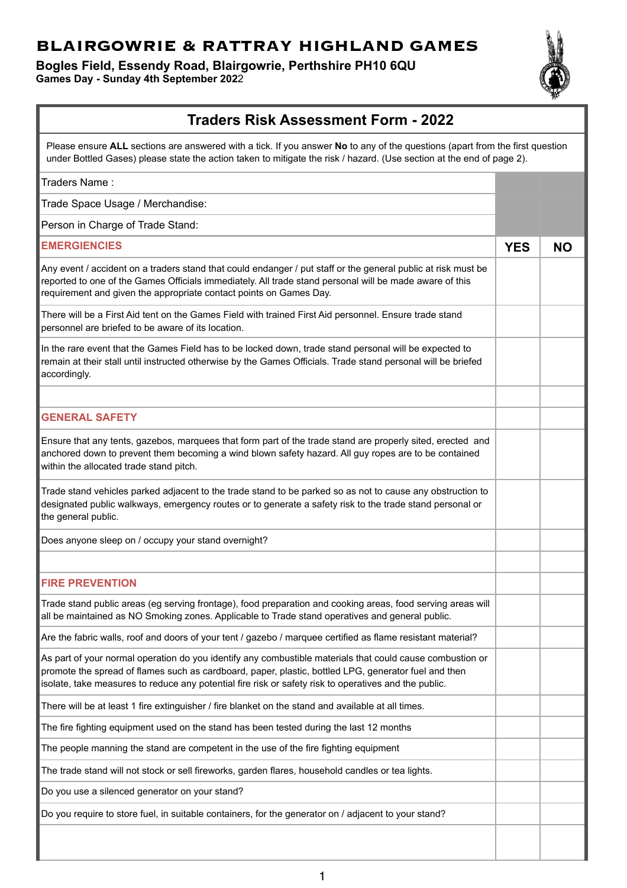## **BLAIRGOWRIE & RATTRAY HIGHLAND GAMES**

**Bogles Field, Essendy Road, Blairgowrie, Perthshire PH10 6QU Games Day - Sunday 4th September 202**2



## **Traders Risk Assessment Form - 2022**

Please ensure **ALL** sections are answered with a tick. If you answer **No** to any of the questions (apart from the first question under Bottled Gases) please state the action taken to mitigate the risk / hazard. (Use section at the end of page 2).

| Traders Name:                                                                                                                                                                                                                                                                                                              |            |           |
|----------------------------------------------------------------------------------------------------------------------------------------------------------------------------------------------------------------------------------------------------------------------------------------------------------------------------|------------|-----------|
| Trade Space Usage / Merchandise:                                                                                                                                                                                                                                                                                           |            |           |
| Person in Charge of Trade Stand:                                                                                                                                                                                                                                                                                           |            |           |
| <b>EMERGIENCIES</b>                                                                                                                                                                                                                                                                                                        | <b>YES</b> | <b>NO</b> |
| Any event / accident on a traders stand that could endanger / put staff or the general public at risk must be<br>reported to one of the Games Officials immediately. All trade stand personal will be made aware of this<br>requirement and given the appropriate contact points on Games Day.                             |            |           |
| There will be a First Aid tent on the Games Field with trained First Aid personnel. Ensure trade stand<br>personnel are briefed to be aware of its location.                                                                                                                                                               |            |           |
| In the rare event that the Games Field has to be locked down, trade stand personal will be expected to<br>remain at their stall until instructed otherwise by the Games Officials. Trade stand personal will be briefed<br>accordingly.                                                                                    |            |           |
|                                                                                                                                                                                                                                                                                                                            |            |           |
| <b>GENERAL SAFETY</b>                                                                                                                                                                                                                                                                                                      |            |           |
| Ensure that any tents, gazebos, marquees that form part of the trade stand are properly sited, erected and<br>anchored down to prevent them becoming a wind blown safety hazard. All guy ropes are to be contained<br>within the allocated trade stand pitch.                                                              |            |           |
| Trade stand vehicles parked adjacent to the trade stand to be parked so as not to cause any obstruction to<br>designated public walkways, emergency routes or to generate a safety risk to the trade stand personal or<br>the general public.                                                                              |            |           |
| Does anyone sleep on / occupy your stand overnight?                                                                                                                                                                                                                                                                        |            |           |
|                                                                                                                                                                                                                                                                                                                            |            |           |
| <b>FIRE PREVENTION</b>                                                                                                                                                                                                                                                                                                     |            |           |
| Trade stand public areas (eg serving frontage), food preparation and cooking areas, food serving areas will<br>all be maintained as NO Smoking zones. Applicable to Trade stand operatives and general public.                                                                                                             |            |           |
| Are the fabric walls, roof and doors of your tent / gazebo / marquee certified as flame resistant material?                                                                                                                                                                                                                |            |           |
| As part of your normal operation do you identify any combustible materials that could cause combustion or<br>promote the spread of flames such as cardboard, paper, plastic, bottled LPG, generator fuel and then<br>isolate, take measures to reduce any potential fire risk or safety risk to operatives and the public. |            |           |
| There will be at least 1 fire extinguisher / fire blanket on the stand and available at all times.                                                                                                                                                                                                                         |            |           |
| The fire fighting equipment used on the stand has been tested during the last 12 months                                                                                                                                                                                                                                    |            |           |
| The people manning the stand are competent in the use of the fire fighting equipment                                                                                                                                                                                                                                       |            |           |
| The trade stand will not stock or sell fireworks, garden flares, household candles or tea lights.                                                                                                                                                                                                                          |            |           |
| Do you use a silenced generator on your stand?                                                                                                                                                                                                                                                                             |            |           |
| Do you require to store fuel, in suitable containers, for the generator on / adjacent to your stand?                                                                                                                                                                                                                       |            |           |
|                                                                                                                                                                                                                                                                                                                            |            |           |